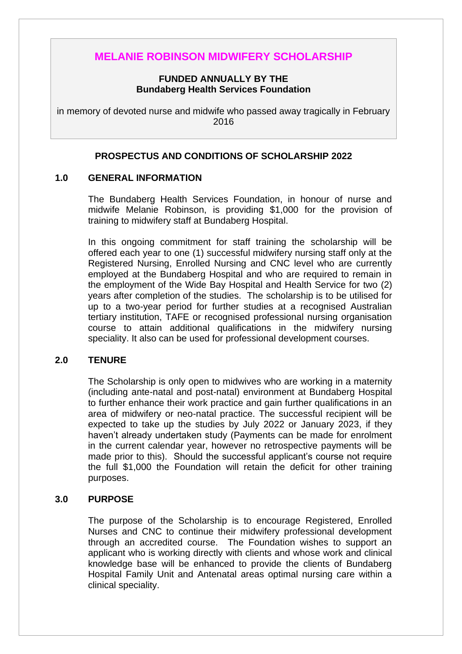# **MELANIE ROBINSON MIDWIFERY SCHOLARSHIP**

#### **FUNDED ANNUALLY BY THE Bundaberg Health Services Foundation**

in memory of devoted nurse and midwife who passed away tragically in February 2016

## **PROSPECTUS AND CONDITIONS OF SCHOLARSHIP 2022**

#### **1.0 GENERAL INFORMATION**

The Bundaberg Health Services Foundation, in honour of nurse and midwife Melanie Robinson, is providing \$1,000 for the provision of training to midwifery staff at Bundaberg Hospital.

In this ongoing commitment for staff training the scholarship will be offered each year to one (1) successful midwifery nursing staff only at the Registered Nursing, Enrolled Nursing and CNC level who are currently employed at the Bundaberg Hospital and who are required to remain in the employment of the Wide Bay Hospital and Health Service for two (2) years after completion of the studies. The scholarship is to be utilised for up to a two-year period for further studies at a recognised Australian tertiary institution, TAFE or recognised professional nursing organisation course to attain additional qualifications in the midwifery nursing speciality. It also can be used for professional development courses.

### **2.0 TENURE**

The Scholarship is only open to midwives who are working in a maternity (including ante-natal and post-natal) environment at Bundaberg Hospital to further enhance their work practice and gain further qualifications in an area of midwifery or neo-natal practice. The successful recipient will be expected to take up the studies by July 2022 or January 2023, if they haven't already undertaken study (Payments can be made for enrolment in the current calendar year, however no retrospective payments will be made prior to this). Should the successful applicant's course not require the full \$1,000 the Foundation will retain the deficit for other training purposes.

### **3.0 PURPOSE**

The purpose of the Scholarship is to encourage Registered, Enrolled Nurses and CNC to continue their midwifery professional development through an accredited course. The Foundation wishes to support an applicant who is working directly with clients and whose work and clinical knowledge base will be enhanced to provide the clients of Bundaberg Hospital Family Unit and Antenatal areas optimal nursing care within a clinical speciality.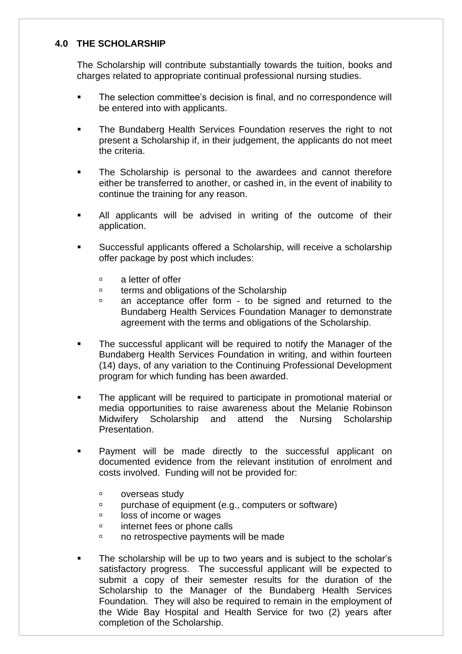# **4.0 THE SCHOLARSHIP**

The Scholarship will contribute substantially towards the tuition, books and charges related to appropriate continual professional nursing studies.

- The selection committee's decision is final, and no correspondence will be entered into with applicants.
- **EXECT** The Bundaberg Health Services Foundation reserves the right to not present a Scholarship if, in their judgement, the applicants do not meet the criteria.
- The Scholarship is personal to the awardees and cannot therefore either be transferred to another, or cashed in, in the event of inability to continue the training for any reason.
- **EXECUTE:** All applicants will be advised in writing of the outcome of their application.
- Successful applicants offered a Scholarship, will receive a scholarship offer package by post which includes:
	- a letter of offer
	- □ terms and obligations of the Scholarship
	- an acceptance offer form to be signed and returned to the Bundaberg Health Services Foundation Manager to demonstrate agreement with the terms and obligations of the Scholarship.
- The successful applicant will be required to notify the Manager of the Bundaberg Health Services Foundation in writing, and within fourteen (14) days, of any variation to the Continuing Professional Development program for which funding has been awarded.
- The applicant will be required to participate in promotional material or media opportunities to raise awareness about the Melanie Robinson Midwifery Scholarship and attend the Nursing Scholarship Presentation.
- Payment will be made directly to the successful applicant on documented evidence from the relevant institution of enrolment and costs involved. Funding will not be provided for:
	- **p** overseas study
	- purchase of equipment (e.g., computers or software)
	- **decay** loss of income or wages
	- *u* internet fees or phone calls
	- no retrospective payments will be made
- The scholarship will be up to two years and is subject to the scholar's satisfactory progress. The successful applicant will be expected to submit a copy of their semester results for the duration of the Scholarship to the Manager of the Bundaberg Health Services Foundation. They will also be required to remain in the employment of the Wide Bay Hospital and Health Service for two (2) years after completion of the Scholarship.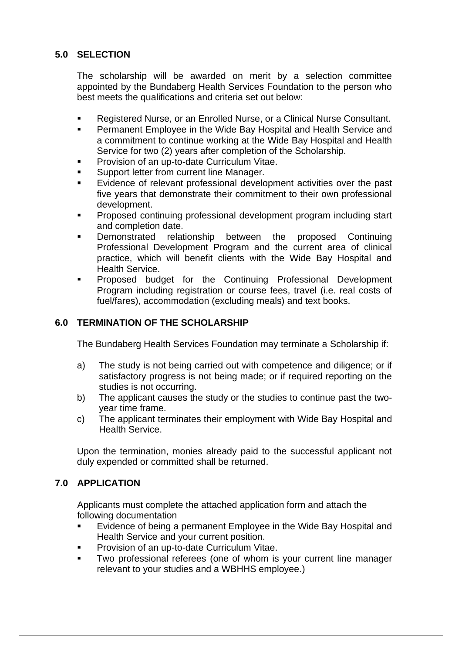# **5.0 SELECTION**

The scholarship will be awarded on merit by a selection committee appointed by the Bundaberg Health Services Foundation to the person who best meets the qualifications and criteria set out below:

- Registered Nurse, or an Enrolled Nurse, or a Clinical Nurse Consultant.
- Permanent Employee in the Wide Bay Hospital and Health Service and a commitment to continue working at the Wide Bay Hospital and Health Service for two (2) years after completion of the Scholarship.
- Provision of an up-to-date Curriculum Vitae.
- Support letter from current line Manager.
- Evidence of relevant professional development activities over the past five years that demonstrate their commitment to their own professional development.
- Proposed continuing professional development program including start and completion date.
- Demonstrated relationship between the proposed Continuing Professional Development Program and the current area of clinical practice, which will benefit clients with the Wide Bay Hospital and Health Service.
- Proposed budget for the Continuing Professional Development Program including registration or course fees, travel (i.e. real costs of fuel/fares), accommodation (excluding meals) and text books.

## **6.0 TERMINATION OF THE SCHOLARSHIP**

The Bundaberg Health Services Foundation may terminate a Scholarship if:

- a) The study is not being carried out with competence and diligence; or if satisfactory progress is not being made; or if required reporting on the studies is not occurring.
- b) The applicant causes the study or the studies to continue past the twoyear time frame.
- c) The applicant terminates their employment with Wide Bay Hospital and Health Service.

Upon the termination, monies already paid to the successful applicant not duly expended or committed shall be returned.

# **7.0 APPLICATION**

Applicants must complete the attached application form and attach the following documentation

- Evidence of being a permanent Employee in the Wide Bay Hospital and Health Service and your current position.
- Provision of an up-to-date Curriculum Vitae.
- Two professional referees (one of whom is your current line manager relevant to your studies and a WBHHS employee.)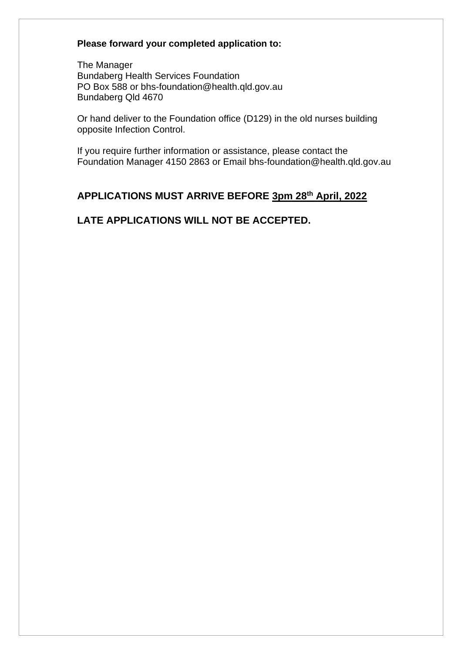# **Please forward your completed application to:**

The Manager Bundaberg Health Services Foundation PO Box 588 or bhs-foundation@health.qld.gov.au Bundaberg Qld 4670

Or hand deliver to the Foundation office (D129) in the old nurses building opposite Infection Control.

If you require further information or assistance, please contact the Foundation Manager 4150 2863 or Email bhs-foundation@health.qld.gov.au

# **APPLICATIONS MUST ARRIVE BEFORE 3pm 28th April, 2022**

# **LATE APPLICATIONS WILL NOT BE ACCEPTED.**